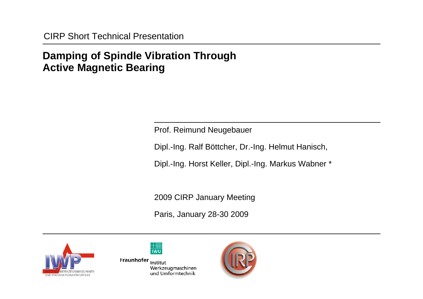# **Damping of Spindle Vibration Through Active Magnetic Bearing**

Prof. Reimund Neugebauer

Dipl.-Ing. Ralf Böttcher, Dr.-Ing. Helmut Hanisch,

Dipl.-Ing. Horst Keller, Dipl.-Ing. Markus Wabner \*

2009 CIRP January Meeting

Paris, January 28-30 2009





Fraunhofer Institut Werkzeugmaschinen und Umformtechnik

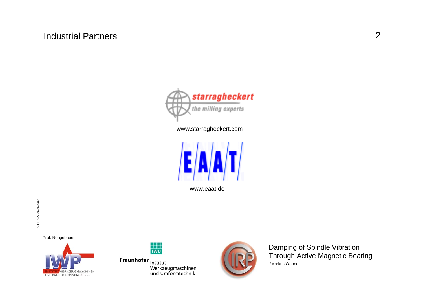

www.starragheckert.com



www.eaat.de

Prof. Neugebauer





Fraunhofer Institut nnenen<br>Werkzeugmaschinen<br>und Umformtechnik

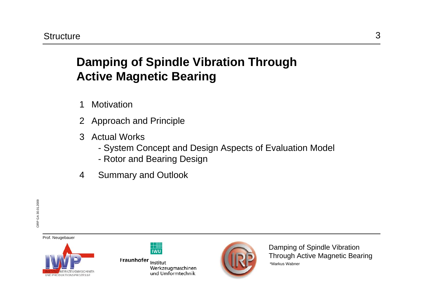# **Damping of Spindle Vibration Through Active Magnetic Bearing**

- 1 Motivation
- 2 Approach and Principle
- 3 Actual Works
	- System Concept and Design Aspects of Evaluation Model
	- Rotor and Bearing Design
- 4 Summary and Outlook

Prof. Neugebauer



Fraunhofer Institut Werkzeugmaschinen und Umformtechnik

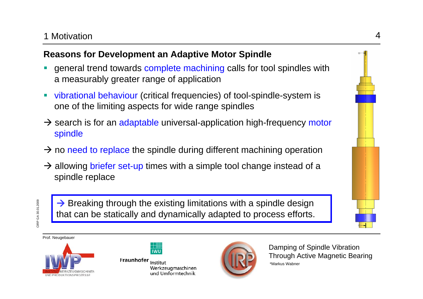#### 1 Motivation

# **Reasons for Development an Adaptive Motor Spindle**

- П general trend towards complete machining calls for tool spindles with a measurably greater range of application
- $\blacksquare$  vibrational behaviour (critical frequencies) of tool-spindle-system is one of the limiting aspects for wide range spindles
- $\rightarrow$  search is for an adaptable universal-application high-frequency motor spindle
- $\rightarrow$  no need to replace the spindle during different machining operation
- $\rightarrow$  allowing briefer set-up times with a simple tool change instead of a spindle replace

 $\rightarrow$  Breaking through the existing limitations with a spindle design that can be statically and dynamically adapted to process efforts.

Prof. Neugebauer



| ł |  |
|---|--|

Fraunhofer Institut Werkzeugmaschinen und Umformtechnik

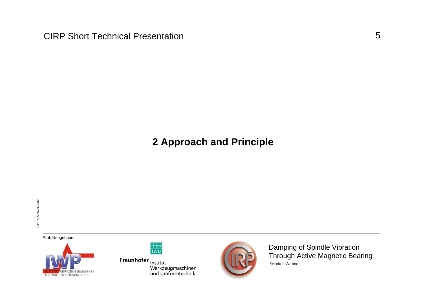# **2 Approach and Principle**

Prof. Neugebauer





Fraunhofer Institut nnenen<br>Werkzeugmaschinen<br>und Umformtechnik

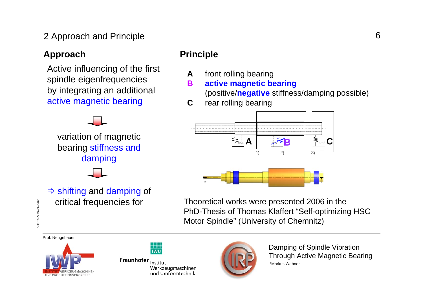# 2 Approach and Principle

#### Approach **Principle**

Active influencing of the first spindle eigenfrequencies by integrating an additional active magnetic bearing

variation of magnetic bearing stiffness and damping



- **A** front rolling bearing
- **Bactive magnetic bearing**

(positive/**negative** stiffness/damping possible)

**C**rear rolling bearing



Theoretical works were presented 2006 in the PhD-Thesis of Thomas Klaffert "Self-optimizing HSC Motor Spindle" (University of Chemnitz)

Prof. Neugebauer



Fraunhofer Institut Werkzeugmaschinen und Umformtechnik

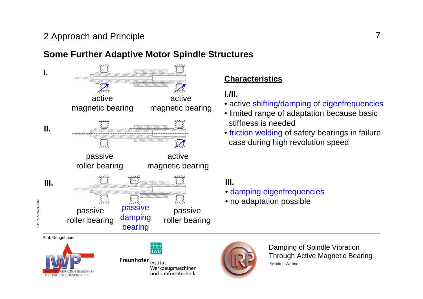## **Some Further Adaptive Motor Spindle Structures**



#### **Characteristics**

#### **I./II.**

- active shifting/damping of eigenfrequencies
- limited range of adaptation because basic stiffness is needed
- friction welding of safety bearings in failure case during high revolution speed

#### **III.**

- damping eigenfrequencies
- no adaptation possible



**IWU** 

Fraunhofer Institut Werkzeugmaschinen und Umformtechnik

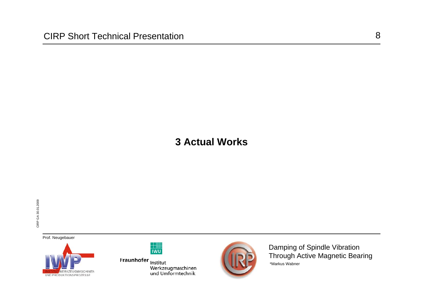Prof. Neugebauer





Fraunhofer Institut nnenen<br>Werkzeugmaschinen<br>und Umformtechnik

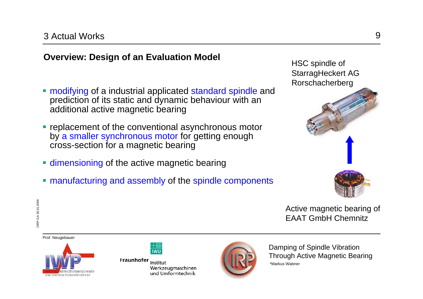# **Overview: Design of an Evaluation Model** HSC spindle of

- **namaller modifying of a industrial applicated standard spindle and** prediction of its static and dynamic behaviour with an additional active magnetic bearing
- **Performant of the conventional asynchronous motor** by a smaller synchronous motor for getting enough cross-section for a magnetic bearing
- **dimensioning of the active magnetic bearing**
- **nanufacturing and assembly of the spindle components**



Active magnetic bearing of EAAT GmbH Chemnitz



Prof. Neugebauer

CIRP GA 30.01.2009

CIRP GA 30.01.2009



Fraunhofer Institut Werkzeugmaschinen und Umformtechnik

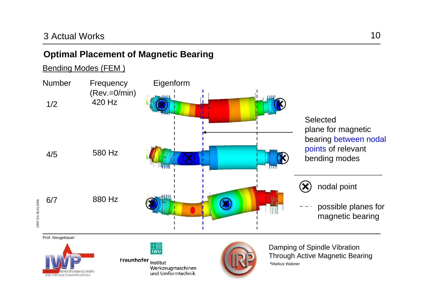## **Optimal Placement of Magnetic Bearing**

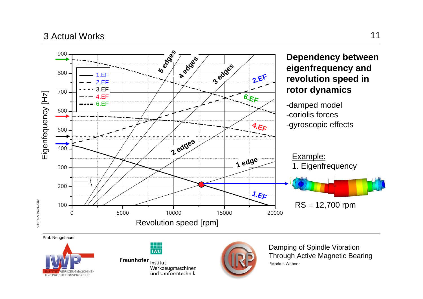



Fraunhofer Institut Werkzeugmaschinen<br>und Umformtechnik

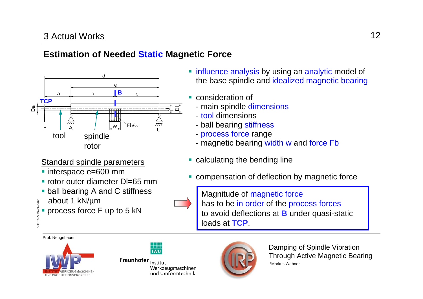## **Estimation of Needed Static Magnetic Force**



Standard spindle parameters

- interspace e=600 mm
- rotor outer diameter DI=65 mm
- **ball bearing A and C stiffness**
- about 1 kN/µm
- Г process force F up to 5 kN

- **natable 10 influence analysis by using an analytic model of** the base spindle and idealized magnetic bearing
- $\overline{\phantom{a}}$  consideration of
	- main spindle dimensions
	- tool dimensions
	- ball bearing stiffness
	- process force range
	- magnetic bearing width w and force Fb
- $\overline{\phantom{a}}$ calculating the bending line
- $\overline{\phantom{a}}$ compensation of deflection by magnetic force



Prof. Neugebauer

CIRP GA 30.01.2009

CIRP GA 30.01.2009



Fraunhofer Institut Werkzeugmaschinen und Umformtechnik

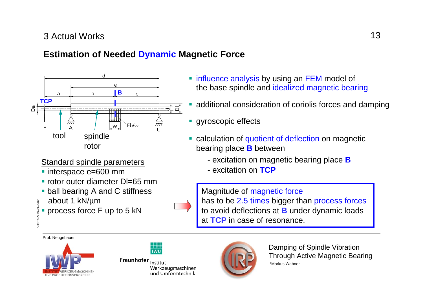## **Estimation of Needed Dynamic Magnetic Force**



Standard spindle parameters

- interspace e=600 mm
- rotor outer diameter DI=65 mm
- **ball bearing A and C stiffness**
- about 1 kN/µm
- Г process force F up to 5 kN

**natable 1 influence analysis by using an FEM model of** the base spindle and idealized magnetic bearing

- additional consideration of coriolis forces and damping
- $\mathcal{L}_{\mathcal{A}}$ gyroscopic effects
- $\mathcal{L}_{\mathcal{A}}$  calculation of quotient of deflection on magnetic bearing place **B** between
	- excitation on magnetic bearing place **B**
	- excitation on **TCP**

Magnitude of magnetic force has to be 2.5 times bigger than process forces to avoid deflections at **B** under dynamic loads at **TCP** in case of resonance.



CIRP GA 30.01.2009

CIRP GA 30.01.2009



Fraunhofer Institut Werkzeugmaschinen und Umformtechnik

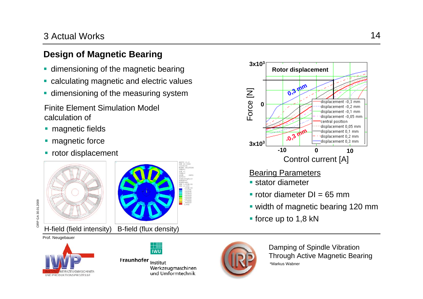## **Design of Magnetic Bearing**

- **dimensioning of the magnetic bearing**
- **Exalculating magnetic and electric values**
- **dimensioning of the measuring system**

 Finite Element Simulation Model calculation of

- **nagnetic fields**
- **nagnetic force**
- **rotor displacement**





CIRP GA 30.01.2009

CIRP GA 30.01.2009

**IWL** 

Fraunhofer Institut Werkzeugmaschinen und Umformtechnik



Damping of Spindle Vibration Through Active Magnetic Bearing \*Markus Wabner



#### Bearing Parameters

- **stator diameter**
- rotor diameter DI = 65 mm
- width of magnetic bearing 120 mm
- **force up to 1,8 kN**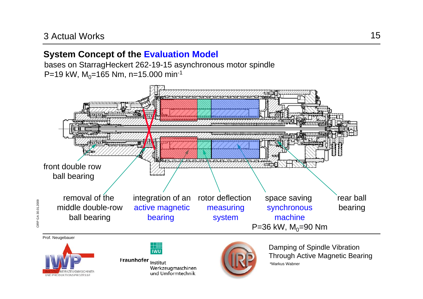#### **System Concept of the Evaluation Model**

bases on StarragHeckert 262-19-15 asynchronous motor spindle P=19 kW,  $M_0$ =165 Nm, n=15.000 min<sup>-1</sup>



Prof. Neugebauer

CIRP GA 30.01.2009

CIRP GA 30.01.2009



 $\overline{I}$  iwil

Fraunhofer Institut Werkzeugmaschinen und Umformtechnik

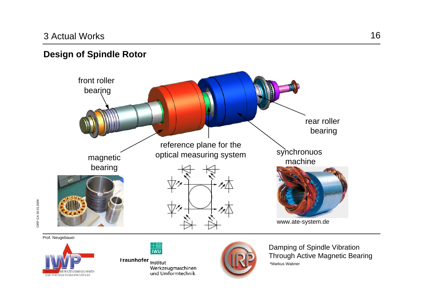**VERKZEUGMASCHINE** 

UND PRODUKTIONSPROZESSE

CIRP GA 30.01.2009

CIRP GA 30.01.2009

#### **Design of Spindle Rotor**



Fraunhofer Institut Werkzeugmaschinen<br>und Umformtechnik

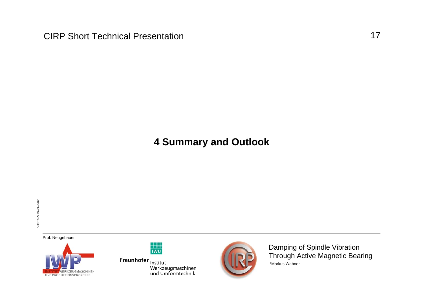# **4 Summary and Outlook**

Prof. Neugebauer





Fraunhofer Institut nnenen<br>Werkzeugmaschinen<br>und Umformtechnik